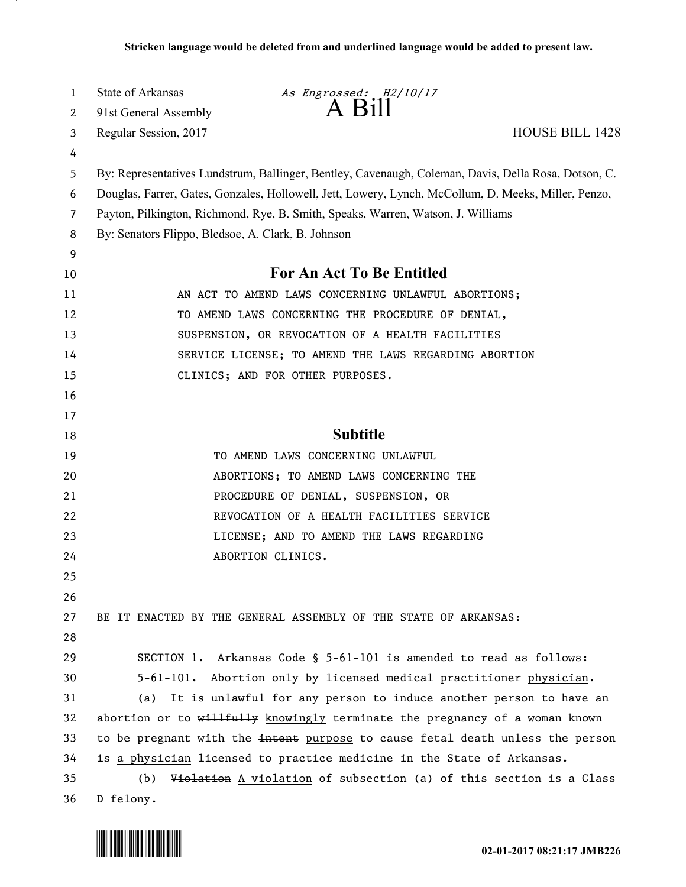| 1        | State of Arkansas                                  | As Engrossed: H2/10/17                                                                                |
|----------|----------------------------------------------------|-------------------------------------------------------------------------------------------------------|
| 2        | 91st General Assembly                              | $A$ Bill                                                                                              |
| 3        | Regular Session, 2017                              | <b>HOUSE BILL 1428</b>                                                                                |
| 4        |                                                    |                                                                                                       |
| 5        |                                                    | By: Representatives Lundstrum, Ballinger, Bentley, Cavenaugh, Coleman, Davis, Della Rosa, Dotson, C.  |
| 6        |                                                    | Douglas, Farrer, Gates, Gonzales, Hollowell, Jett, Lowery, Lynch, McCollum, D. Meeks, Miller, Penzo,  |
| 7        |                                                    | Payton, Pilkington, Richmond, Rye, B. Smith, Speaks, Warren, Watson, J. Williams                      |
| 8        | By: Senators Flippo, Bledsoe, A. Clark, B. Johnson |                                                                                                       |
| 9        |                                                    | For An Act To Be Entitled                                                                             |
| 10       |                                                    |                                                                                                       |
| 11       |                                                    | AN ACT TO AMEND LAWS CONCERNING UNLAWFUL ABORTIONS;                                                   |
| 12<br>13 |                                                    | TO AMEND LAWS CONCERNING THE PROCEDURE OF DENIAL,<br>SUSPENSION, OR REVOCATION OF A HEALTH FACILITIES |
| 14       |                                                    | SERVICE LICENSE; TO AMEND THE LAWS REGARDING ABORTION                                                 |
| 15       |                                                    | CLINICS; AND FOR OTHER PURPOSES.                                                                      |
| 16       |                                                    |                                                                                                       |
| 17       |                                                    |                                                                                                       |
| 18       |                                                    | <b>Subtitle</b>                                                                                       |
| 19       |                                                    | TO AMEND LAWS CONCERNING UNLAWFUL                                                                     |
| 20       |                                                    | ABORTIONS; TO AMEND LAWS CONCERNING THE                                                               |
| 21       |                                                    | PROCEDURE OF DENIAL, SUSPENSION, OR                                                                   |
| 22       |                                                    | REVOCATION OF A HEALTH FACILITIES SERVICE                                                             |
| 23       |                                                    | LICENSE; AND TO AMEND THE LAWS REGARDING                                                              |
| 24       |                                                    | ABORTION CLINICS.                                                                                     |
| 25       |                                                    |                                                                                                       |
| 26       |                                                    |                                                                                                       |
| 27       |                                                    | BE IT ENACTED BY THE GENERAL ASSEMBLY OF THE STATE OF ARKANSAS:                                       |
| 28       |                                                    |                                                                                                       |
| 29       |                                                    | SECTION 1. Arkansas Code § 5-61-101 is amended to read as follows:                                    |
| 30       |                                                    | 5-61-101. Abortion only by licensed medical practitioner physician.                                   |
| 31       |                                                    | (a) It is unlawful for any person to induce another person to have an                                 |
| 32       |                                                    | abortion or to willfully knowingly terminate the pregnancy of a woman known                           |
| 33       |                                                    | to be pregnant with the intent purpose to cause fetal death unless the person                         |
| 34       |                                                    | is a physician licensed to practice medicine in the State of Arkansas.                                |
| 35       | (b)                                                | Violation A violation of subsection (a) of this section is a Class                                    |
| 36       | D felony.                                          |                                                                                                       |



.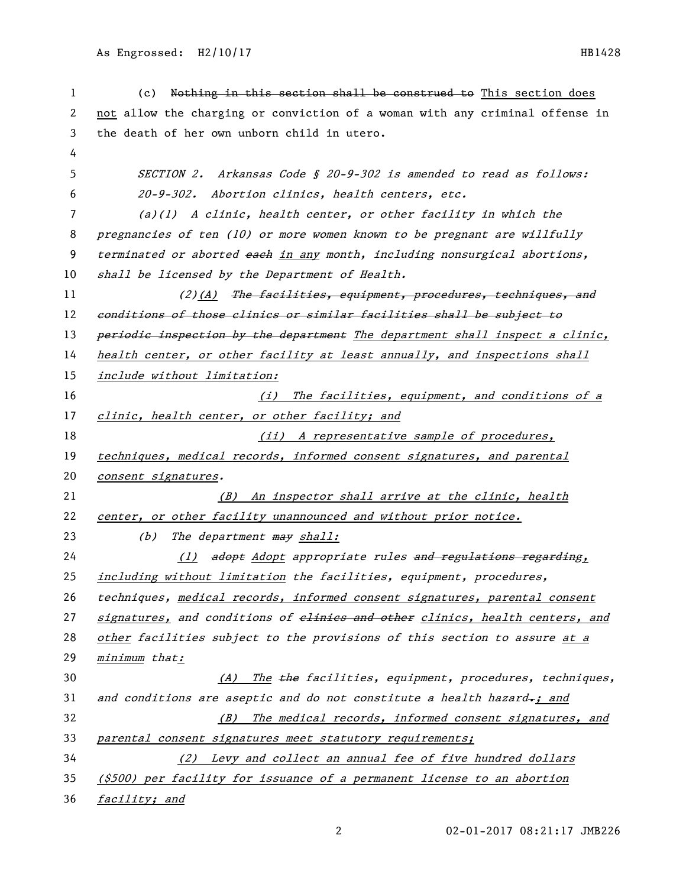As Engrossed: H2/10/17 HB1428

1 (c) Nothing in this section shall be construed to This section does 2 not allow the charging or conviction of a woman with any criminal offense in 3 the death of her own unborn child in utero. 4 5 SECTION 2. Arkansas Code § 20-9-302 is amended to read as follows: 6 20-9-302. Abortion clinics, health centers, etc. 7 (a)(1) A clinic, health center, or other facility in which the 8 pregnancies of ten (10) or more women known to be pregnant are willfully 9 terminated or aborted each in any month, including nonsurgical abortions, 10 shall be licensed by the Department of Health. 11 (2)(A) The facilities, equipment, procedures, techniques, and 12 conditions of those clinics or similar facilities shall be subject to 13 periodic inspection by the department The department shall inspect a clinic, 14 health center, or other facility at least annually, and inspections shall 15 include without limitation: 16 (i) The facilities, equipment, and conditions of a 17 clinic, health center, or other facility; and 18 (ii) A representative sample of procedures, 19 techniques, medical records, informed consent signatures, and parental 20 consent signatures. 21 (B) An inspector shall arrive at the clinic, health 22 center, or other facility unannounced and without prior notice. 23  $(b)$  The department  $\frac{m}{2}$  shall: 24 (1) adopt Adopt appropriate rules and regulations regarding, 25 including without limitation the facilities, equipment, procedures, 26 techniques, medical records, informed consent signatures, parental consent 27 signatures, and conditions of elinics and other clinics, health centers, and 28 other facilities subject to the provisions of this section to assure at a 29 minimum that: 30 (A) The the facilities, equipment, procedures, techniques, 31 and conditions are aseptic and do not constitute a health hazard-; and 32 (B) The medical records, informed consent signatures, and 33 parental consent signatures meet statutory requirements; 34 (2) Levy and collect an annual fee of five hundred dollars 35 (\$500) per facility for issuance of a permanent license to an abortion 36 facility; and

2 02-01-2017 08:21:17 JMB226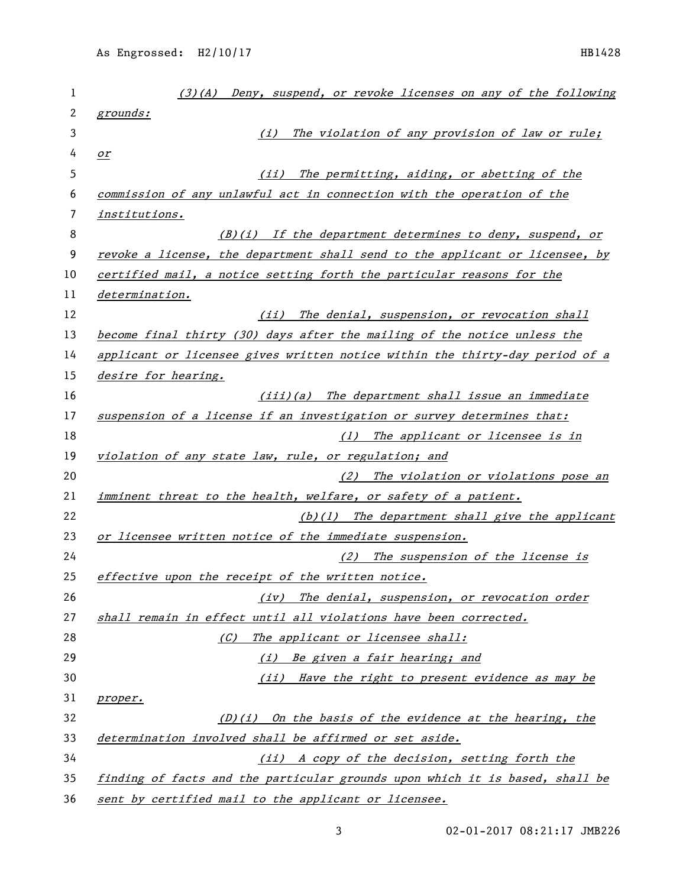| 1  | $(3)(A)$ Deny, suspend, or revoke licenses on any of the following           |
|----|------------------------------------------------------------------------------|
| 2  | grounds:                                                                     |
| 3  | The violation of any provision of law or rule;<br>(i)                        |
| 4  | $\mathcal{Q}$ r                                                              |
| 5  | (iii)<br>The permitting, aiding, or abetting of the                          |
| 6  | commission of any unlawful act in connection with the operation of the       |
| 7  | institutions.                                                                |
| 8  | $(B)(i)$ If the department determines to deny, suspend, or                   |
| 9  | revoke a license, the department shall send to the applicant or licensee, by |
| 10 | certified mail, a notice setting forth the particular reasons for the        |
| 11 | determination.                                                               |
| 12 | The denial, suspension, or revocation shall<br>(iii)                         |
| 13 | become final thirty (30) days after the mailing of the notice unless the     |
| 14 | applicant or licensee gives written notice within the thirty-day period of a |
| 15 | desire for hearing.                                                          |
| 16 | $(iii)(a)$ The department shall issue an immediate                           |
| 17 | suspension of a license if an investigation or survey determines that:       |
| 18 | (1) The applicant or licensee is in                                          |
| 19 | violation of any state law, rule, or regulation; and                         |
| 20 | (2) The violation or violations pose an                                      |
| 21 | imminent threat to the health, welfare, or safety of a patient.              |
| 22 | $(b)(1)$ The department shall give the applicant                             |
| 23 | or licensee written notice of the immediate suspension.                      |
| 24 | (2) The suspension of the license is                                         |
| 25 | effective upon the receipt of the written notice.                            |
| 26 | (iv) The denial, suspension, or revocation order                             |
| 27 | shall remain in effect until all violations have been corrected.             |
| 28 | The applicant or licensee shall:<br>(C)                                      |
| 29 | (i) Be given a fair hearing; and                                             |
| 30 | (ii) Have the right to present evidence as may be                            |
| 31 | proper.                                                                      |
| 32 | $(D)(i)$ On the basis of the evidence at the hearing, the                    |
| 33 | determination involved shall be affirmed or set aside.                       |
| 34 | (ii) A copy of the decision, setting forth the                               |
| 35 | finding of facts and the particular grounds upon which it is based, shall be |
| 36 | sent by certified mail to the applicant or licensee.                         |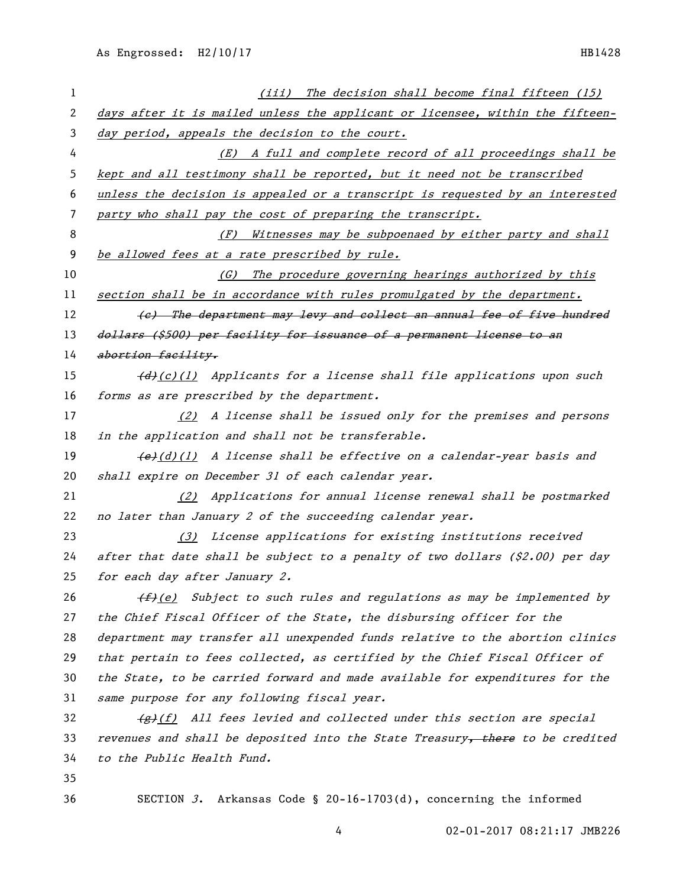| 1  | (iii) The decision shall become final fifteen (15)                                      |
|----|-----------------------------------------------------------------------------------------|
| 2  | days after it is mailed unless the applicant or licensee, within the fifteen-           |
| 3  | day period, appeals the decision to the court.                                          |
| 4  | (E) A full and complete record of all proceedings shall be                              |
| 5  | kept and all testimony shall be reported, but it need not be transcribed                |
| 6  | unless the decision is appealed or a transcript is requested by an interested           |
| 7  | party who shall pay the cost of preparing the transcript.                               |
| 8  | Witnesses may be subpoenaed by either party and shall<br>(F)                            |
| 9  | be allowed fees at a rate prescribed by rule.                                           |
| 10 | The procedure governing hearings authorized by this<br>(G)                              |
| 11 | section shall be in accordance with rules promulgated by the department.                |
| 12 | (e) The department may levy and collect an annual fee of five hundred                   |
| 13 | dollars (\$500) per facility for issuance of a permanent license to an                  |
| 14 | abortion facility.                                                                      |
| 15 | $\overline{d}(c)(1)$ Applicants for a license shall file applications upon such         |
| 16 | forms as are prescribed by the department.                                              |
| 17 | (2) A license shall be issued only for the premises and persons                         |
| 18 | in the application and shall not be transferable.                                       |
| 19 | $\left(\frac{e}{d}\right)(1)$ A license shall be effective on a calendar-year basis and |
| 20 | shall expire on December 31 of each calendar year.                                      |
| 21 | (2) Applications for annual license renewal shall be postmarked                         |
| 22 | no later than January 2 of the succeeding calendar year.                                |
| 23 | (3) License applications for existing institutions received                             |
| 24 | after that date shall be subject to a penalty of two dollars (\$2.00) per day           |
| 25 | for each day after January 2.                                                           |
| 26 | $(f)$ (e) Subject to such rules and regulations as may be implemented by                |
| 27 | the Chief Fiscal Officer of the State, the disbursing officer for the                   |
| 28 | department may transfer all unexpended funds relative to the abortion clinics           |
| 29 | that pertain to fees collected, as certified by the Chief Fiscal Officer of             |
| 30 | the State, to be carried forward and made available for expenditures for the            |
| 31 | same purpose for any following fiscal year.                                             |
| 32 | $\frac{f}{f(x)}$ All fees levied and collected under this section are special           |
| 33 | revenues and shall be deposited into the State Treasury, there to be credited           |
| 34 | to the Public Health Fund.                                                              |
| 35 |                                                                                         |
| 36 | SECTION 3. Arkansas Code § 20-16-1703(d), concerning the informed                       |